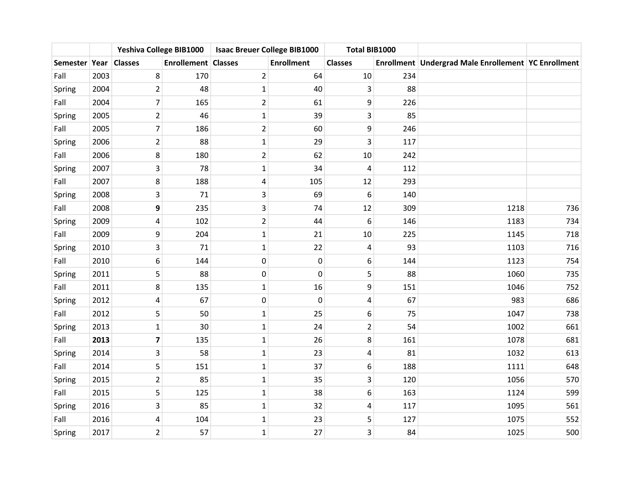|               |      | Yeshiva College BIB1000 |                            | <b>Isaac Breuer College BIB1000</b> |                   | Total BIB1000    |     |                                                         |     |
|---------------|------|-------------------------|----------------------------|-------------------------------------|-------------------|------------------|-----|---------------------------------------------------------|-----|
| Semester Year |      | <b>Classes</b>          | <b>Enrollement Classes</b> |                                     | <b>Enrollment</b> | <b>Classes</b>   |     | Enrollment   Undergrad Male Enrollement   YC Enrollment |     |
| Fall          | 2003 | 8                       | 170                        | $\overline{2}$                      | 64                | 10               | 234 |                                                         |     |
| Spring        | 2004 | $\overline{2}$          | 48                         | $\mathbf{1}$                        | 40                | 3                | 88  |                                                         |     |
| Fall          | 2004 | $\overline{7}$          | 165                        | $\mathbf 2$                         | 61                | 9                | 226 |                                                         |     |
| Spring        | 2005 | $\overline{2}$          | 46                         | $\mathbf{1}$                        | 39                | 3                | 85  |                                                         |     |
| Fall          | 2005 | 7                       | 186                        | $\mathbf 2$                         | 60                | 9                | 246 |                                                         |     |
| Spring        | 2006 | $\overline{2}$          | 88                         | $\mathbf{1}$                        | 29                | 3                | 117 |                                                         |     |
| Fall          | 2006 | 8                       | 180                        | $\overline{2}$                      | 62                | 10               | 242 |                                                         |     |
| Spring        | 2007 | 3                       | 78                         | $\mathbf{1}$                        | 34                | $\overline{4}$   | 112 |                                                         |     |
| Fall          | 2007 | 8                       | 188                        | 4                                   | 105               | 12               | 293 |                                                         |     |
| Spring        | 2008 | 3                       | 71                         | 3                                   | 69                | $\boldsymbol{6}$ | 140 |                                                         |     |
| Fall          | 2008 | 9                       | 235                        | 3                                   | 74                | 12               | 309 | 1218                                                    | 736 |
| Spring        | 2009 | 4                       | 102                        | $\overline{2}$                      | 44                | 6                | 146 | 1183                                                    | 734 |
| Fall          | 2009 | 9                       | 204                        | $\mathbf 1$                         | 21                | 10               | 225 | 1145                                                    | 718 |
| Spring        | 2010 | 3                       | 71                         | $\mathbf 1$                         | 22                | 4                | 93  | 1103                                                    | 716 |
| Fall          | 2010 | 6                       | 144                        | $\boldsymbol{0}$                    | $\pmb{0}$         | 6                | 144 | 1123                                                    | 754 |
| Spring        | 2011 | 5                       | 88                         | 0                                   | 0                 | 5                | 88  | 1060                                                    | 735 |
| Fall          | 2011 | 8                       | 135                        | $\mathbf{1}$                        | 16                | 9                | 151 | 1046                                                    | 752 |
| Spring        | 2012 | 4                       | 67                         | 0                                   | $\pmb{0}$         | 4                | 67  | 983                                                     | 686 |
| Fall          | 2012 | 5                       | 50                         | $\mathbf{1}$                        | 25                | 6                | 75  | 1047                                                    | 738 |
| Spring        | 2013 | $\mathbf{1}$            | 30                         | $\mathbf 1$                         | 24                | $\overline{2}$   | 54  | 1002                                                    | 661 |
| Fall          | 2013 | $\overline{\mathbf{z}}$ | 135                        | $\mathbf{1}$                        | 26                | 8                | 161 | 1078                                                    | 681 |
| Spring        | 2014 | 3                       | 58                         | $\mathbf 1$                         | 23                | 4                | 81  | 1032                                                    | 613 |
| Fall          | 2014 | 5                       | 151                        | $\mathbf{1}$                        | 37                | 6                | 188 | 1111                                                    | 648 |
| Spring        | 2015 | $\overline{2}$          | 85                         | $\mathbf{1}$                        | 35                | 3                | 120 | 1056                                                    | 570 |
| Fall          | 2015 | 5                       | 125                        | $\mathbf{1}$                        | 38                | 6                | 163 | 1124                                                    | 599 |
| Spring        | 2016 | 3                       | 85                         | $\mathbf{1}$                        | 32                | 4                | 117 | 1095                                                    | 561 |
| Fall          | 2016 | 4                       | 104                        | $\mathbf 1$                         | 23                | 5                | 127 | 1075                                                    | 552 |
| Spring        | 2017 | $\overline{2}$          | 57                         | $\mathbf{1}$                        | 27                | 3                | 84  | 1025                                                    | 500 |